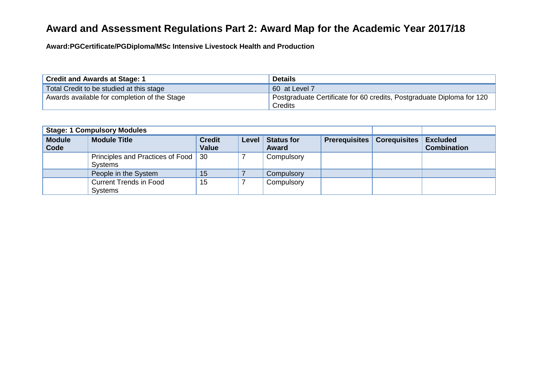## **Award and Assessment Regulations Part 2: Award Map for the Academic Year 2017/18**

**Award:PGCertificate/PGDiploma/MSc Intensive Livestock Health and Production**

| <b>Credit and Awards at Stage: 1</b>         | <b>Details</b>                                                        |
|----------------------------------------------|-----------------------------------------------------------------------|
| Total Credit to be studied at this stage     | 60 at Level 7                                                         |
| Awards available for completion of the Stage | Postgraduate Certificate for 60 credits, Postgraduate Diploma for 120 |
|                                              | Credits                                                               |

| <b>Stage: 1 Compulsory Modules</b> |                                                         |                               |       |                                   |                      |                     |                                       |
|------------------------------------|---------------------------------------------------------|-------------------------------|-------|-----------------------------------|----------------------|---------------------|---------------------------------------|
| <b>Module</b><br>Code              | <b>Module Title</b>                                     | <b>Credit</b><br><b>Value</b> | Level | <b>Status for</b><br><b>Award</b> | <b>Prerequisites</b> | <b>Corequisites</b> | <b>Excluded</b><br><b>Combination</b> |
|                                    | Principles and Practices of Food   30<br><b>Systems</b> |                               |       | Compulsory                        |                      |                     |                                       |
|                                    | People in the System                                    | 15                            |       | Compulsory                        |                      |                     |                                       |
|                                    | <b>Current Trends in Food</b><br><b>Systems</b>         | 15                            |       | Compulsory                        |                      |                     |                                       |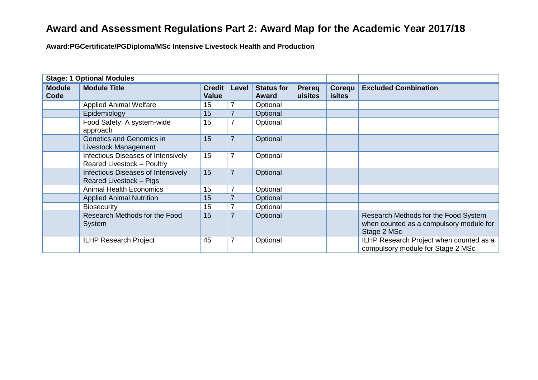## **Award and Assessment Regulations Part 2: Award Map for the Academic Year 2017/18**

**Award:PGCertificate/PGDiploma/MSc Intensive Livestock Health and Production**

| <b>Stage: 1 Optional Modules</b> |                                                                  |                               |                |                                   |                   |                         |                                                                                                |
|----------------------------------|------------------------------------------------------------------|-------------------------------|----------------|-----------------------------------|-------------------|-------------------------|------------------------------------------------------------------------------------------------|
| <b>Module</b><br>Code            | <b>Module Title</b>                                              | <b>Credit</b><br><b>Value</b> | Level          | <b>Status for</b><br><b>Award</b> | Prereg<br>uisites | Corequ<br><b>isites</b> | <b>Excluded Combination</b>                                                                    |
|                                  | <b>Applied Animal Welfare</b>                                    | 15                            |                | Optional                          |                   |                         |                                                                                                |
|                                  | Epidemiology                                                     | 15                            |                | Optional                          |                   |                         |                                                                                                |
|                                  | Food Safety: A system-wide<br>approach                           | 15                            | 7              | Optional                          |                   |                         |                                                                                                |
|                                  | Genetics and Genomics in<br>Livestock Management                 | 15                            | $\overline{7}$ | Optional                          |                   |                         |                                                                                                |
|                                  | Infectious Diseases of Intensively<br>Reared Livestock - Poultry | 15                            | 7              | Optional                          |                   |                         |                                                                                                |
|                                  | Infectious Diseases of Intensively<br>Reared Livestock - Pigs    | 15                            | $\overline{7}$ | Optional                          |                   |                         |                                                                                                |
|                                  | <b>Animal Health Economics</b>                                   | 15                            | 7              | Optional                          |                   |                         |                                                                                                |
|                                  | <b>Applied Animal Nutrition</b>                                  | 15                            |                | Optional                          |                   |                         |                                                                                                |
|                                  | <b>Biosecurity</b>                                               | 15                            |                | Optional                          |                   |                         |                                                                                                |
|                                  | Research Methods for the Food<br>System                          | 15                            | $\overline{7}$ | Optional                          |                   |                         | Research Methods for the Food System<br>when counted as a compulsory module for<br>Stage 2 MSc |
|                                  | <b>ILHP Research Project</b>                                     | 45                            | $\overline{7}$ | Optional                          |                   |                         | ILHP Research Project when counted as a<br>compulsory module for Stage 2 MSc                   |